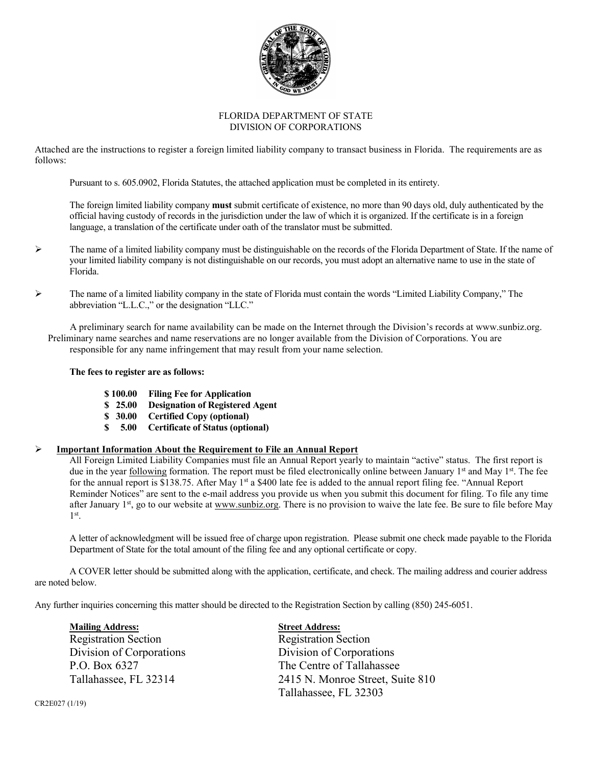

### FLORIDA DEPARTMENT OF STATE DIVISION OF CORPORATIONS

Attached are the instructions to register a foreign limited liability company to transact business in Florida. The requirements are as follows:

Pursuant to s. 605.0902, Florida Statutes, the attached application must be completed in its entirety.

The foreign limited liability company **must** submit certificate of existence, no more than 90 days old, duly authenticated by the official having custody of records in the jurisdiction under the law of which it is organized. If the certificate is in a foreign language, a translation of the certificate under oath of the translator must be submitted.

- $\triangleright$  The name of a limited liability company must be distinguishable on the records of the Florida Department of State. If the name of your limited liability company is not distinguishable on our records, you must adopt an alternative name to use in the state of Florida.
- $\triangleright$  The name of a limited liability company in the state of Florida must contain the words "Limited Liability Company," The abbreviation "L.L.C.," or the designation "LLC."

 A preliminary search for name availability can be made on the Internet through the Division's records at www.sunbiz.org. Preliminary name searches and name reservations are no longer available from the Division of Corporations. You are responsible for any name infringement that may result from your name selection.

# **The fees to register are as follows:**

- **\$ 100.00 Filing Fee for Application**
- **\$ 25.00 Designation of Registered Agent**
- **\$ 30.00 Certified Copy (optional)**
- **\$ 5.00 Certificate of Status (optional)**

# **Important Information About the Requirement to File an Annual Report**

All Foreign Limited Liability Companies must file an Annual Report yearly to maintain "active" status. The first report is due in the year following formation. The report must be filed electronically online between January 1st and May 1st. The fee for the annual report is \$138.75. After May 1st a \$400 late fee is added to the annual report filing fee. "Annual Report Reminder Notices" are sent to the e-mail address you provide us when you submit this document for filing. To file any time after January 1<sup>st</sup>, go to our website at www.sunbiz.org. There is no provision to waive the late fee. Be sure to file before May 1st.

A letter of acknowledgment will be issued free of charge upon registration. Please submit one check made payable to the Florida Department of State for the total amount of the filing fee and any optional certificate or copy.

A COVER letter should be submitted along with the application, certificate, and check. The mailing address and courier address are noted below.

Any further inquiries concerning this matter should be directed to the Registration Section by calling (850) 245-6051.

**Mailing Address:** Street Address: Registration Section Registration Section Division of Corporations Division of Corporations P.O. Box 6327 The Centre of Tallahassee

Tallahassee, FL 32314 2415 N. Monroe Street, Suite 810 Tallahassee, FL 32303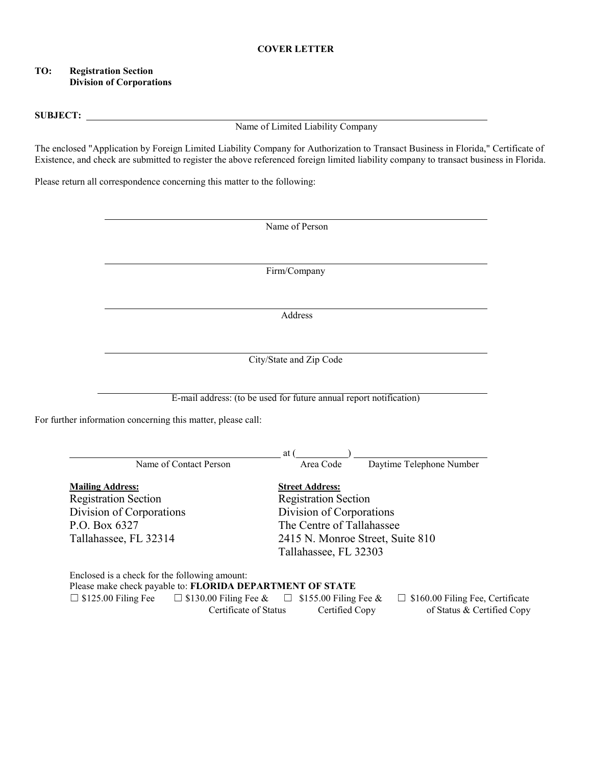### **COVER LETTER**

### **TO: Registration Section Division of Corporations**

#### **SUBJECT:**

Name of Limited Liability Company

The enclosed "Application by Foreign Limited Liability Company for Authorization to Transact Business in Florida," Certificate of Existence, and check are submitted to register the above referenced foreign limited liability company to transact business in Florida.

Please return all correspondence concerning this matter to the following:

|                         |                                                              | Name of Person                                                     |
|-------------------------|--------------------------------------------------------------|--------------------------------------------------------------------|
|                         |                                                              | Firm/Company                                                       |
|                         |                                                              |                                                                    |
|                         |                                                              | Address                                                            |
|                         |                                                              | City/State and Zip Code                                            |
|                         |                                                              |                                                                    |
|                         |                                                              |                                                                    |
|                         |                                                              | E-mail address: (to be used for future annual report notification) |
|                         | For further information concerning this matter, please call: | at (                                                               |
|                         | Name of Contact Person                                       | Daytime Telephone Number<br>Area Code                              |
|                         |                                                              | <b>Street Address:</b>                                             |
| <b>Mailing Address:</b> | <b>Registration Section</b>                                  | <b>Registration Section</b>                                        |
|                         | Division of Corporations                                     | Division of Corporations                                           |
| P.O. Box 6327           |                                                              | The Centre of Tallahassee                                          |
|                         | Tallahassee, FL 32314                                        | 2415 N. Monroe Street, Suite 810                                   |

Certificate of Status Certified Copy of Status & Certified Copy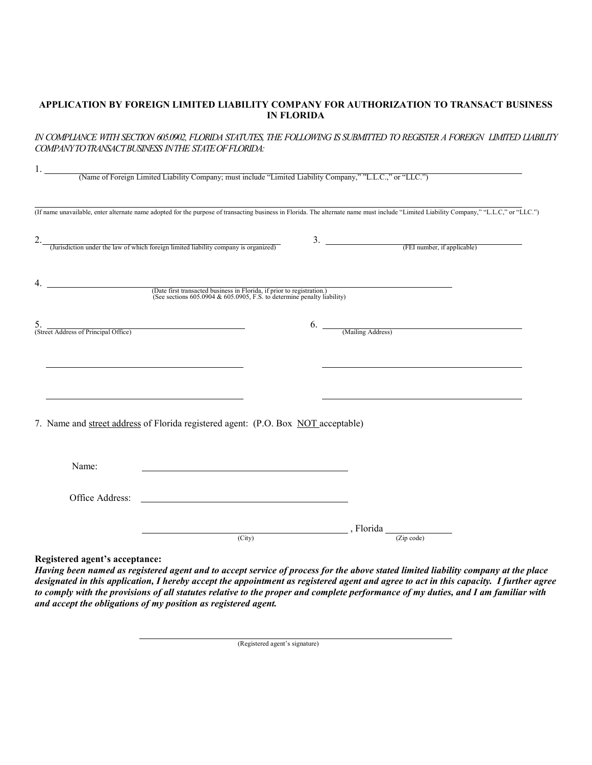# **APPLICATION BY FOREIGN LIMITED LIABILITY COMPANY FOR AUTHORIZATION TO TRANSACT BUSINESS IN FLORIDA**

# *IN COMPLIANCE WITH SECTION 605.0902, FLORIDA STATUTES, THE FOLLOWING IS SUBMITTED TO REGISTER A FOREIGN LIMITED LIABILITY COMPANY TO TRANSACT BUSINESS IN THE STATE OF FLORIDA:*

|                                            | (Name of Foreign Limited Liability Company; must include "Limited Liability Company," "L.L.C.," or "LLC.")                                                                                                                           |                                                      |  |
|--------------------------------------------|--------------------------------------------------------------------------------------------------------------------------------------------------------------------------------------------------------------------------------------|------------------------------------------------------|--|
|                                            | (If name unavailable, enter alternate name adopted for the purpose of transacting business in Florida. The alternate name must include "Limited Liability Company," "L.L.C," or "LLC.")                                              |                                                      |  |
|                                            | 2. (Jurisdiction under the law of which foreign limited liability company is organized)                                                                                                                                              | $\frac{3.}{\sqrt{3.25}}$ (FEI number, if applicable) |  |
| 4.                                         | (Date first transacted business in Florida, if prior to registration.)<br>(See sections 605.0904 & 605.0905, F.S. to determine penalty liability)                                                                                    |                                                      |  |
| 5.<br>(Street Address of Principal Office) |                                                                                                                                                                                                                                      | 6. (Mailing Address)                                 |  |
|                                            |                                                                                                                                                                                                                                      |                                                      |  |
|                                            | 7. Name and street address of Florida registered agent: (P.O. Box NOT acceptable)                                                                                                                                                    |                                                      |  |
| Name:                                      |                                                                                                                                                                                                                                      |                                                      |  |
| Office Address:                            | <u>and the state of the state of the state of the state of the state of the state of the state of the state of the state of the state of the state of the state of the state of the state of the state of the state of the state</u> |                                                      |  |
|                                            | (City)                                                                                                                                                                                                                               | , Florida<br>(Zip code)                              |  |
|                                            |                                                                                                                                                                                                                                      |                                                      |  |

**Registered agent's acceptance:**

*Having been named as registered agent and to accept service of process for the above stated limited liability company at the place designated in this application, I hereby accept the appointment as registered agent and agree to act in this capacity. I further agree to comply with the provisions of all statutes relative to the proper and complete performance of my duties, and I am familiar with and accept the obligations of my position as registered agent.*

(Registered agent's signature)